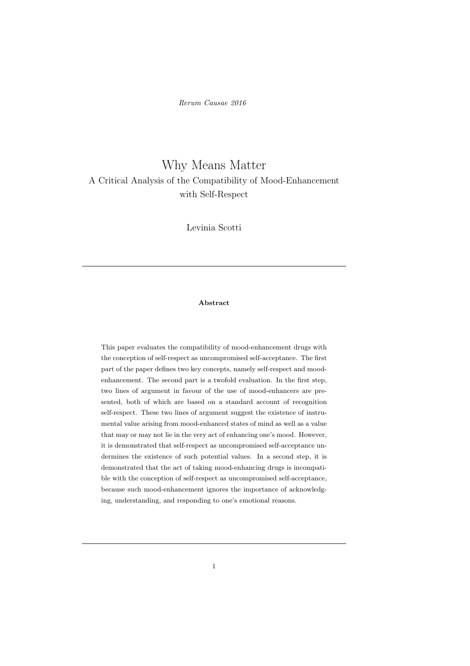Rerum Causae 2016

# Why Means Matter A Critical Analysis of the Compatibility of Mood-Enhancement with Self-Respect

Levinia Scotti

### Abstract

This paper evaluates the compatibility of mood-enhancement drugs with the conception of self-respect as uncompromised self-acceptance. The first part of the paper defines two key concepts, namely self-respect and moodenhancement. The second part is a twofold evaluation. In the first step, two lines of argument in favour of the use of mood-enhancers are presented, both of which are based on a standard account of recognition self-respect. These two lines of argument suggest the existence of instrumental value arising from mood-enhanced states of mind as well as a value that may or may not lie in the very act of enhancing one's mood. However, it is demonstrated that self-respect as uncompromised self-acceptance undermines the existence of such potential values. In a second step, it is demonstrated that the act of taking mood-enhancing drugs is incompatible with the conception of self-respect as uncompromised self-acceptance, because such mood-enhancement ignores the importance of acknowledging, understanding, and responding to one's emotional reasons.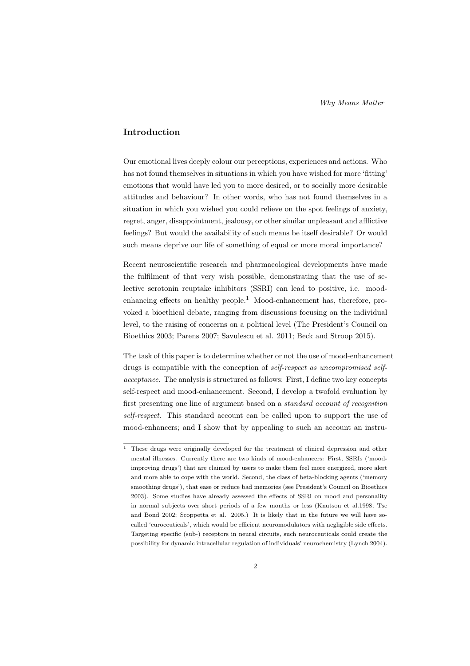## Introduction

Our emotional lives deeply colour our perceptions, experiences and actions. Who has not found themselves in situations in which you have wished for more 'fitting' emotions that would have led you to more desired, or to socially more desirable attitudes and behaviour? In other words, who has not found themselves in a situation in which you wished you could relieve on the spot feelings of anxiety, regret, anger, disappointment, jealousy, or other similar unpleasant and afflictive feelings? But would the availability of such means be itself desirable? Or would such means deprive our life of something of equal or more moral importance?

Recent neuroscientific research and pharmacological developments have made the fulfilment of that very wish possible, demonstrating that the use of selective serotonin reuptake inhibitors (SSRI) can lead to positive, i.e. moodenhancing effects on healthy people.<sup>1</sup> Mood-enhancement has, therefore, provoked a bioethical debate, ranging from discussions focusing on the individual level, to the raising of concerns on a political level (The President's Council on Bioethics 2003; Parens 2007; Savulescu et al. 2011; Beck and Stroop 2015).

The task of this paper is to determine whether or not the use of mood-enhancement drugs is compatible with the conception of self-respect as uncompromised selfacceptance. The analysis is structured as follows: First, I define two key concepts self-respect and mood-enhancement. Second, I develop a twofold evaluation by first presenting one line of argument based on a standard account of recognition self-respect. This standard account can be called upon to support the use of mood-enhancers; and I show that by appealing to such an account an instru-

<sup>&</sup>lt;sup>1</sup> These drugs were originally developed for the treatment of clinical depression and other mental illnesses. Currently there are two kinds of mood-enhancers: First, SSRIs ('moodimproving drugs') that are claimed by users to make them feel more energized, more alert and more able to cope with the world. Second, the class of beta-blocking agents ('memory smoothing drugs'), that ease or reduce bad memories (see President's Council on Bioethics 2003). Some studies have already assessed the effects of SSRI on mood and personality in normal subjects over short periods of a few months or less (Knutson et al.1998; Tse and Bond 2002; Scoppetta et al. 2005.) It is likely that in the future we will have socalled 'euroceuticals', which would be efficient neuromodulators with negligible side effects. Targeting specific (sub-) receptors in neural circuits, such neuroceuticals could create the possibility for dynamic intracellular regulation of individuals' neurochemistry (Lynch 2004).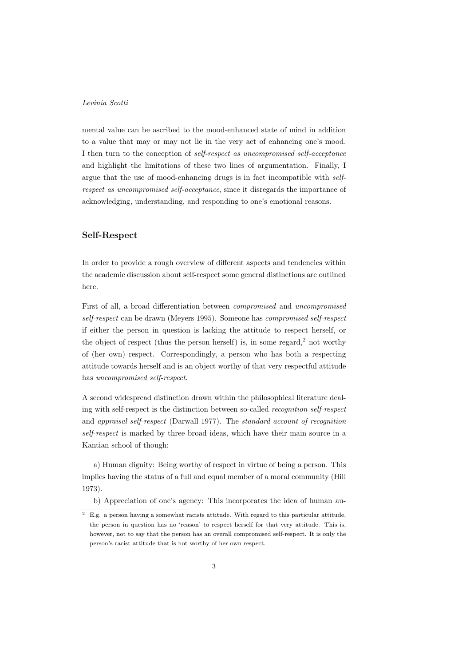mental value can be ascribed to the mood-enhanced state of mind in addition to a value that may or may not lie in the very act of enhancing one's mood. I then turn to the conception of self-respect as uncompromised self-acceptance and highlight the limitations of these two lines of argumentation. Finally, I argue that the use of mood-enhancing drugs is in fact incompatible with selfrespect as uncompromised self-acceptance, since it disregards the importance of acknowledging, understanding, and responding to one's emotional reasons.

## Self-Respect

In order to provide a rough overview of different aspects and tendencies within the academic discussion about self-respect some general distinctions are outlined here.

First of all, a broad differentiation between compromised and uncompromised self-respect can be drawn (Meyers 1995). Someone has compromised self-respect if either the person in question is lacking the attitude to respect herself, or the object of respect (thus the person herself) is, in some regard, $2$  not worthy of (her own) respect. Correspondingly, a person who has both a respecting attitude towards herself and is an object worthy of that very respectful attitude has uncompromised self-respect.

A second widespread distinction drawn within the philosophical literature dealing with self-respect is the distinction between so-called recognition self-respect and appraisal self-respect (Darwall 1977). The standard account of recognition self-respect is marked by three broad ideas, which have their main source in a Kantian school of though:

a) Human dignity: Being worthy of respect in virtue of being a person. This implies having the status of a full and equal member of a moral community (Hill 1973).

b) Appreciation of one's agency: This incorporates the idea of human au-

 $\overline{2}$  E.g. a person having a somewhat racists attitude. With regard to this particular attitude, the person in question has no 'reason' to respect herself for that very attitude. This is, however, not to say that the person has an overall compromised self-respect. It is only the person's racist attitude that is not worthy of her own respect.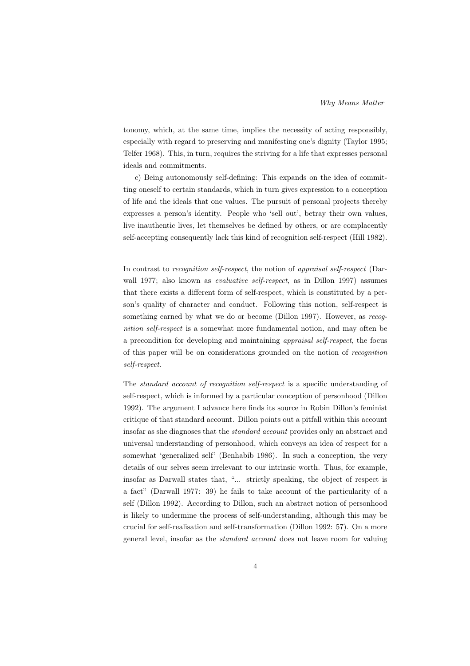tonomy, which, at the same time, implies the necessity of acting responsibly, especially with regard to preserving and manifesting one's dignity (Taylor 1995; Telfer 1968). This, in turn, requires the striving for a life that expresses personal ideals and commitments.

c) Being autonomously self-defining: This expands on the idea of committing oneself to certain standards, which in turn gives expression to a conception of life and the ideals that one values. The pursuit of personal projects thereby expresses a person's identity. People who 'sell out', betray their own values, live inauthentic lives, let themselves be defined by others, or are complacently self-accepting consequently lack this kind of recognition self-respect (Hill 1982).

In contrast to *recognition self-respect*, the notion of *appraisal self-respect* (Darwall 1977; also known as *evaluative self-respect*, as in Dillon 1997) assumes that there exists a different form of self-respect, which is constituted by a person's quality of character and conduct. Following this notion, self-respect is something earned by what we do or become (Dillon 1997). However, as recognition self-respect is a somewhat more fundamental notion, and may often be a precondition for developing and maintaining appraisal self-respect, the focus of this paper will be on considerations grounded on the notion of recognition self-respect.

The standard account of recognition self-respect is a specific understanding of self-respect, which is informed by a particular conception of personhood (Dillon 1992). The argument I advance here finds its source in Robin Dillon's feminist critique of that standard account. Dillon points out a pitfall within this account insofar as she diagnoses that the standard account provides only an abstract and universal understanding of personhood, which conveys an idea of respect for a somewhat 'generalized self' (Benhabib 1986). In such a conception, the very details of our selves seem irrelevant to our intrinsic worth. Thus, for example, insofar as Darwall states that, "... strictly speaking, the object of respect is a fact" (Darwall 1977: 39) he fails to take account of the particularity of a self (Dillon 1992). According to Dillon, such an abstract notion of personhood is likely to undermine the process of self-understanding, although this may be crucial for self-realisation and self-transformation (Dillon 1992: 57). On a more general level, insofar as the standard account does not leave room for valuing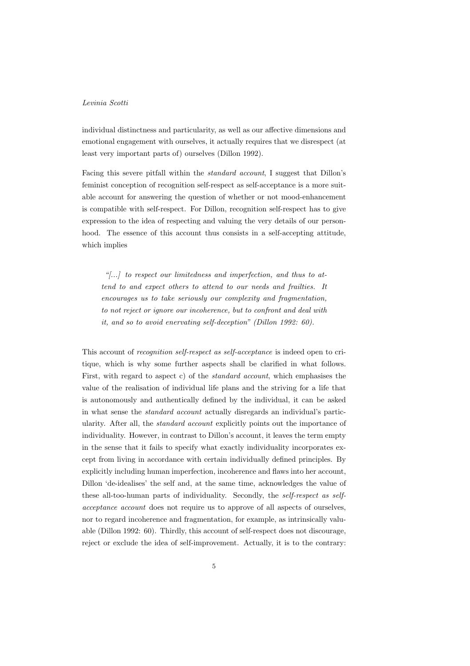individual distinctness and particularity, as well as our affective dimensions and emotional engagement with ourselves, it actually requires that we disrespect (at least very important parts of) ourselves (Dillon 1992).

Facing this severe pitfall within the standard account, I suggest that Dillon's feminist conception of recognition self-respect as self-acceptance is a more suitable account for answering the question of whether or not mood-enhancement is compatible with self-respect. For Dillon, recognition self-respect has to give expression to the idea of respecting and valuing the very details of our personhood. The essence of this account thus consists in a self-accepting attitude, which implies

"[...] to respect our limitedness and imperfection, and thus to attend to and expect others to attend to our needs and frailties. It encourages us to take seriously our complexity and fragmentation, to not reject or ignore our incoherence, but to confront and deal with it, and so to avoid enervating self-deception" (Dillon 1992: 60).

This account of recognition self-respect as self-acceptance is indeed open to critique, which is why some further aspects shall be clarified in what follows. First, with regard to aspect c) of the *standard account*, which emphasises the value of the realisation of individual life plans and the striving for a life that is autonomously and authentically defined by the individual, it can be asked in what sense the standard account actually disregards an individual's particularity. After all, the standard account explicitly points out the importance of individuality. However, in contrast to Dillon's account, it leaves the term empty in the sense that it fails to specify what exactly individuality incorporates except from living in accordance with certain individually defined principles. By explicitly including human imperfection, incoherence and flaws into her account, Dillon 'de-idealises' the self and, at the same time, acknowledges the value of these all-too-human parts of individuality. Secondly, the self-respect as selfacceptance account does not require us to approve of all aspects of ourselves, nor to regard incoherence and fragmentation, for example, as intrinsically valuable (Dillon 1992: 60). Thirdly, this account of self-respect does not discourage, reject or exclude the idea of self-improvement. Actually, it is to the contrary: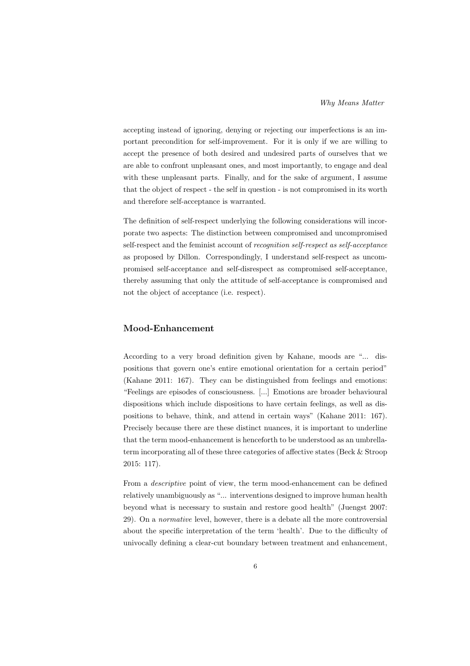accepting instead of ignoring, denying or rejecting our imperfections is an important precondition for self-improvement. For it is only if we are willing to accept the presence of both desired and undesired parts of ourselves that we are able to confront unpleasant ones, and most importantly, to engage and deal with these unpleasant parts. Finally, and for the sake of argument, I assume that the object of respect - the self in question - is not compromised in its worth and therefore self-acceptance is warranted.

The definition of self-respect underlying the following considerations will incorporate two aspects: The distinction between compromised and uncompromised self-respect and the feminist account of recognition self-respect as self-acceptance as proposed by Dillon. Correspondingly, I understand self-respect as uncompromised self-acceptance and self-disrespect as compromised self-acceptance, thereby assuming that only the attitude of self-acceptance is compromised and not the object of acceptance (i.e. respect).

### Mood-Enhancement

According to a very broad definition given by Kahane, moods are "... dispositions that govern one's entire emotional orientation for a certain period" (Kahane 2011: 167). They can be distinguished from feelings and emotions: "Feelings are episodes of consciousness. [...] Emotions are broader behavioural dispositions which include dispositions to have certain feelings, as well as dispositions to behave, think, and attend in certain ways" (Kahane 2011: 167). Precisely because there are these distinct nuances, it is important to underline that the term mood-enhancement is henceforth to be understood as an umbrellaterm incorporating all of these three categories of affective states (Beck & Stroop 2015: 117).

From a descriptive point of view, the term mood-enhancement can be defined relatively unambiguously as "... interventions designed to improve human health beyond what is necessary to sustain and restore good health" (Juengst 2007: 29). On a normative level, however, there is a debate all the more controversial about the specific interpretation of the term 'health'. Due to the difficulty of univocally defining a clear-cut boundary between treatment and enhancement,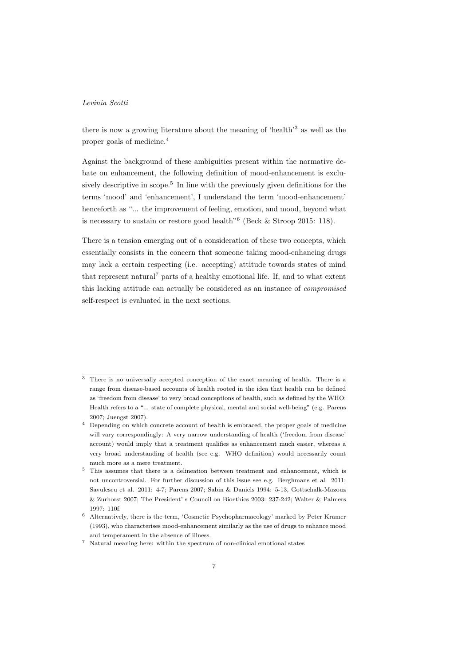there is now a growing literature about the meaning of 'health'<sup>3</sup> as well as the proper goals of medicine.<sup>4</sup>

Against the background of these ambiguities present within the normative debate on enhancement, the following definition of mood-enhancement is exclusively descriptive in scope.<sup>5</sup> In line with the previously given definitions for the terms 'mood' and 'enhancement', I understand the term 'mood-enhancement' henceforth as "... the improvement of feeling, emotion, and mood, beyond what is necessary to sustain or restore good health"<sup>6</sup> (Beck & Stroop 2015: 118).

There is a tension emerging out of a consideration of these two concepts, which essentially consists in the concern that someone taking mood-enhancing drugs may lack a certain respecting (i.e. accepting) attitude towards states of mind that represent natural<sup>7</sup> parts of a healthy emotional life. If, and to what extent this lacking attitude can actually be considered as an instance of compromised self-respect is evaluated in the next sections.

<sup>&</sup>lt;sup>3</sup> There is no universally accepted conception of the exact meaning of health. There is a range from disease-based accounts of health rooted in the idea that health can be defined as 'freedom from disease' to very broad conceptions of health, such as defined by the WHO: Health refers to a "... state of complete physical, mental and social well-being" (e.g. Parens 2007; Juengst 2007).

<sup>&</sup>lt;sup>4</sup> Depending on which concrete account of health is embraced, the proper goals of medicine will vary correspondingly: A very narrow understanding of health ('freedom from disease' account) would imply that a treatment qualifies as enhancement much easier, whereas a very broad understanding of health (see e.g. WHO definition) would necessarily count much more as a mere treatment.

<sup>&</sup>lt;sup>5</sup> This assumes that there is a delineation between treatment and enhancement, which is not uncontroversial. For further discussion of this issue see e.g. Berghmans et al. 2011; Savulescu et al. 2011: 4-7; Parens 2007; Sabin & Daniels 1994: 5-13, Gottschalk-Mazouz & Zurhorst 2007; The President' s Council on Bioethics 2003: 237-242; Walter & Palmers 1997: 110f.

 $^6\;$  Alternatively, there is the term, 'Cosmetic Psychopharmacology' marked by Peter Kramer (1993), who characterises mood-enhancement similarly as the use of drugs to enhance mood and temperament in the absence of illness.

<sup>7</sup> Natural meaning here: within the spectrum of non-clinical emotional states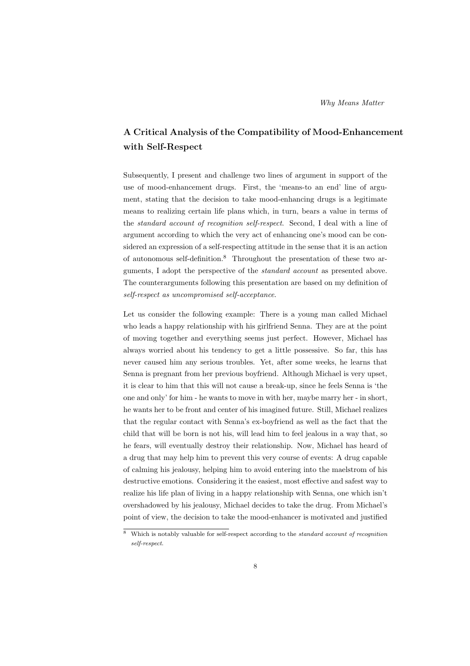Why Means Matter

# A Critical Analysis of the Compatibility of Mood-Enhancement with Self-Respect

Subsequently, I present and challenge two lines of argument in support of the use of mood-enhancement drugs. First, the 'means-to an end' line of argument, stating that the decision to take mood-enhancing drugs is a legitimate means to realizing certain life plans which, in turn, bears a value in terms of the standard account of recognition self-respect. Second, I deal with a line of argument according to which the very act of enhancing one's mood can be considered an expression of a self-respecting attitude in the sense that it is an action of autonomous self-definition.<sup>8</sup> Throughout the presentation of these two arguments. I adopt the perspective of the *standard account* as presented above. The counterarguments following this presentation are based on my definition of self-respect as uncompromised self-acceptance.

Let us consider the following example: There is a young man called Michael who leads a happy relationship with his girlfriend Senna. They are at the point of moving together and everything seems just perfect. However, Michael has always worried about his tendency to get a little possessive. So far, this has never caused him any serious troubles. Yet, after some weeks, he learns that Senna is pregnant from her previous boyfriend. Although Michael is very upset, it is clear to him that this will not cause a break-up, since he feels Senna is 'the one and only' for him - he wants to move in with her, maybe marry her - in short, he wants her to be front and center of his imagined future. Still, Michael realizes that the regular contact with Senna's ex-boyfriend as well as the fact that the child that will be born is not his, will lead him to feel jealous in a way that, so he fears, will eventually destroy their relationship. Now, Michael has heard of a drug that may help him to prevent this very course of events: A drug capable of calming his jealousy, helping him to avoid entering into the maelstrom of his destructive emotions. Considering it the easiest, most effective and safest way to realize his life plan of living in a happy relationship with Senna, one which isn't overshadowed by his jealousy, Michael decides to take the drug. From Michael's point of view, the decision to take the mood-enhancer is motivated and justified

Which is notably valuable for self-respect according to the *standard account of recognition* self-respect.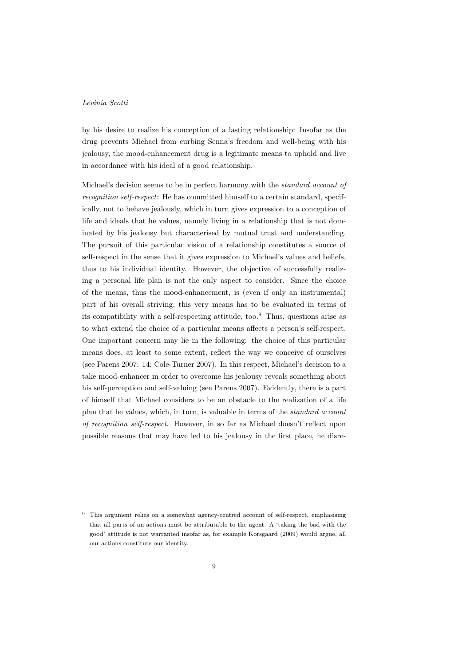by his desire to realize his conception of a lasting relationship: Insofar as the drug prevents Michael from curbing Senna's freedom and well-being with his jealousy, the mood-enhancement drug is a legitimate means to uphold and live in accordance with his ideal of a good relationship.

Michael's decision seems to be in perfect harmony with the standard account of recognition self-respect: He has committed himself to a certain standard, specifically, not to behave jealously, which in turn gives expression to a conception of life and ideals that he values, namely living in a relationship that is not dominated by his jealousy but characterised by mutual trust and understanding. The pursuit of this particular vision of a relationship constitutes a source of self-respect in the sense that it gives expression to Michael's values and beliefs, thus to his individual identity. However, the objective of successfully realizing a personal life plan is not the only aspect to consider. Since the choice of the means, thus the mood-enhancement, is (even if only an instrumental) part of his overall striving, this very means has to be evaluated in terms of its compatibility with a self-respecting attitude, too.<sup>9</sup> Thus, questions arise as to what extend the choice of a particular means affects a person's self-respect. One important concern may lie in the following: the choice of this particular means does, at least to some extent, reflect the way we conceive of ourselves (see Parens 2007: 14; Cole-Turner 2007). In this respect, Michael's decision to a take mood-enhancer in order to overcome his jealousy reveals something about his self-perception and self-valuing (see Parens 2007). Evidently, there is a part of himself that Michael considers to be an obstacle to the realization of a life plan that he values, which, in turn, is valuable in terms of the standard account of recognition self-respect. However, in so far as Michael doesn't reflect upon possible reasons that may have led to his jealousy in the first place, he disre-

<sup>&</sup>lt;sup>9</sup> This argument relies on a somewhat agency-centred account of self-respect, emphasising that all parts of an actions must be attributable to the agent. A 'taking the bad with the good' attitude is not warranted insofar as, for example Korsgaard (2009) would argue, all our actions constitute our identity.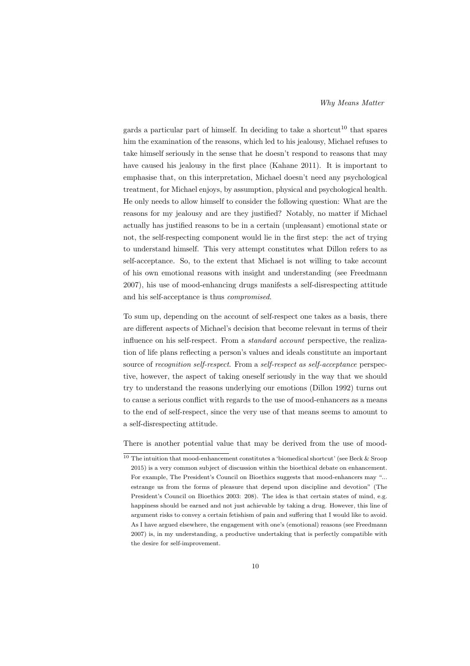gards a particular part of himself. In deciding to take a shortcut<sup>10</sup> that spares him the examination of the reasons, which led to his jealousy, Michael refuses to take himself seriously in the sense that he doesn't respond to reasons that may have caused his jealousy in the first place (Kahane 2011). It is important to emphasise that, on this interpretation, Michael doesn't need any psychological treatment, for Michael enjoys, by assumption, physical and psychological health. He only needs to allow himself to consider the following question: What are the reasons for my jealousy and are they justified? Notably, no matter if Michael actually has justified reasons to be in a certain (unpleasant) emotional state or not, the self-respecting component would lie in the first step: the act of trying to understand himself. This very attempt constitutes what Dillon refers to as self-acceptance. So, to the extent that Michael is not willing to take account of his own emotional reasons with insight and understanding (see Freedmann 2007), his use of mood-enhancing drugs manifests a self-disrespecting attitude and his self-acceptance is thus compromised.

To sum up, depending on the account of self-respect one takes as a basis, there are different aspects of Michael's decision that become relevant in terms of their influence on his self-respect. From a standard account perspective, the realization of life plans reflecting a person's values and ideals constitute an important source of recognition self-respect. From a self-respect as self-acceptance perspective, however, the aspect of taking oneself seriously in the way that we should try to understand the reasons underlying our emotions (Dillon 1992) turns out to cause a serious conflict with regards to the use of mood-enhancers as a means to the end of self-respect, since the very use of that means seems to amount to a self-disrespecting attitude.

There is another potential value that may be derived from the use of mood-

<sup>&</sup>lt;sup>10</sup> The intuition that mood-enhancement constitutes a 'biomedical shortcut' (see Beck & Sroop 2015) is a very common subject of discussion within the bioethical debate on enhancement. For example, The President's Council on Bioethics suggests that mood-enhancers may "... estrange us from the forms of pleasure that depend upon discipline and devotion" (The President's Council on Bioethics 2003: 208). The idea is that certain states of mind, e.g. happiness should be earned and not just achievable by taking a drug. However, this line of argument risks to convey a certain fetishism of pain and suffering that I would like to avoid. As I have argued elsewhere, the engagement with one's (emotional) reasons (see Freedmann 2007) is, in my understanding, a productive undertaking that is perfectly compatible with the desire for self-improvement.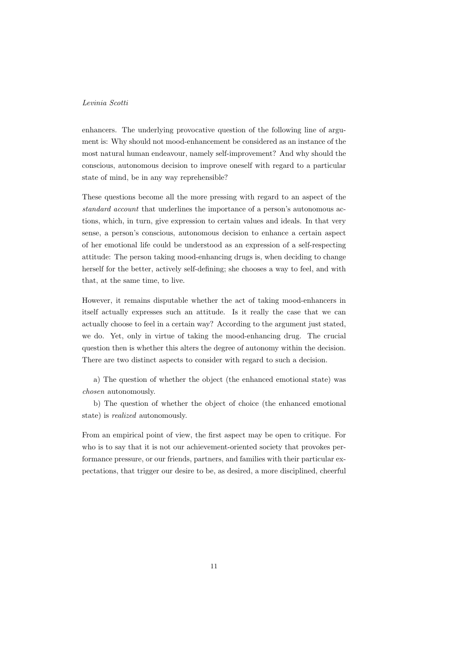enhancers. The underlying provocative question of the following line of argument is: Why should not mood-enhancement be considered as an instance of the most natural human endeavour, namely self-improvement? And why should the conscious, autonomous decision to improve oneself with regard to a particular state of mind, be in any way reprehensible?

These questions become all the more pressing with regard to an aspect of the standard account that underlines the importance of a person's autonomous actions, which, in turn, give expression to certain values and ideals. In that very sense, a person's conscious, autonomous decision to enhance a certain aspect of her emotional life could be understood as an expression of a self-respecting attitude: The person taking mood-enhancing drugs is, when deciding to change herself for the better, actively self-defining; she chooses a way to feel, and with that, at the same time, to live.

However, it remains disputable whether the act of taking mood-enhancers in itself actually expresses such an attitude. Is it really the case that we can actually choose to feel in a certain way? According to the argument just stated, we do. Yet, only in virtue of taking the mood-enhancing drug. The crucial question then is whether this alters the degree of autonomy within the decision. There are two distinct aspects to consider with regard to such a decision.

a) The question of whether the object (the enhanced emotional state) was chosen autonomously.

b) The question of whether the object of choice (the enhanced emotional state) is realized autonomously.

From an empirical point of view, the first aspect may be open to critique. For who is to say that it is not our achievement-oriented society that provokes performance pressure, or our friends, partners, and families with their particular expectations, that trigger our desire to be, as desired, a more disciplined, cheerful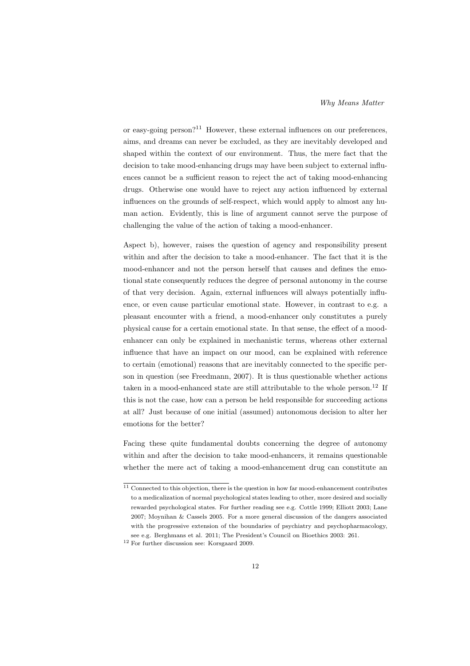or easy-going person?<sup>11</sup> However, these external influences on our preferences, aims, and dreams can never be excluded, as they are inevitably developed and shaped within the context of our environment. Thus, the mere fact that the decision to take mood-enhancing drugs may have been subject to external influences cannot be a sufficient reason to reject the act of taking mood-enhancing drugs. Otherwise one would have to reject any action influenced by external influences on the grounds of self-respect, which would apply to almost any human action. Evidently, this is line of argument cannot serve the purpose of challenging the value of the action of taking a mood-enhancer.

Aspect b), however, raises the question of agency and responsibility present within and after the decision to take a mood-enhancer. The fact that it is the mood-enhancer and not the person herself that causes and defines the emotional state consequently reduces the degree of personal autonomy in the course of that very decision. Again, external influences will always potentially influence, or even cause particular emotional state. However, in contrast to e.g. a pleasant encounter with a friend, a mood-enhancer only constitutes a purely physical cause for a certain emotional state. In that sense, the effect of a moodenhancer can only be explained in mechanistic terms, whereas other external influence that have an impact on our mood, can be explained with reference to certain (emotional) reasons that are inevitably connected to the specific person in question (see Freedmann, 2007). It is thus questionable whether actions taken in a mood-enhanced state are still attributable to the whole person.<sup>12</sup> If this is not the case, how can a person be held responsible for succeeding actions at all? Just because of one initial (assumed) autonomous decision to alter her emotions for the better?

Facing these quite fundamental doubts concerning the degree of autonomy within and after the decision to take mood-enhancers, it remains questionable whether the mere act of taking a mood-enhancement drug can constitute an

 $\frac{11}{11}$  Connected to this objection, there is the question in how far mood-enhancement contributes to a medicalization of normal psychological states leading to other, more desired and socially rewarded psychological states. For further reading see e.g. Cottle 1999; Elliott 2003; Lane 2007; Moynihan & Cassels 2005. For a more general discussion of the dangers associated with the progressive extension of the boundaries of psychiatry and psychopharmacology, see e.g. Berghmans et al. 2011; The President's Council on Bioethics 2003: 261.

<sup>12</sup> For further discussion see: Korsgaard 2009.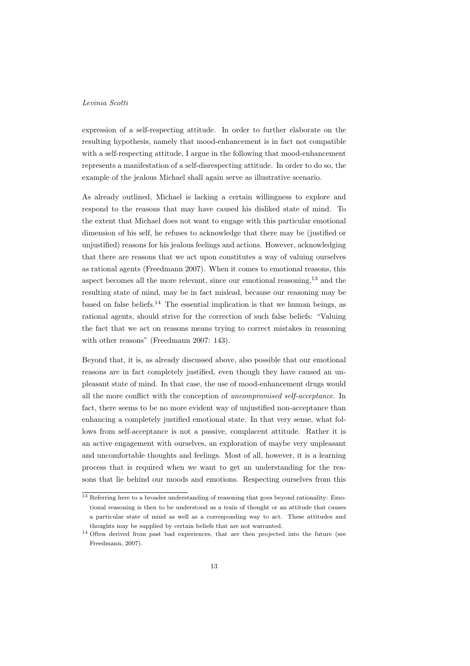expression of a self-respecting attitude. In order to further elaborate on the resulting hypothesis, namely that mood-enhancement is in fact not compatible with a self-respecting attitude, I argue in the following that mood-enhancement represents a manifestation of a self-disrespecting attitude. In order to do so, the example of the jealous Michael shall again serve as illustrative scenario.

As already outlined, Michael is lacking a certain willingness to explore and respond to the reasons that may have caused his disliked state of mind. To the extent that Michael does not want to engage with this particular emotional dimension of his self, he refuses to acknowledge that there may be (justified or unjustified) reasons for his jealous feelings and actions. However, acknowledging that there are reasons that we act upon constitutes a way of valuing ourselves as rational agents (Freedmann 2007). When it comes to emotional reasons, this aspect becomes all the more relevant, since our emotional reasoning,<sup>13</sup> and the resulting state of mind, may be in fact mislead, because our reasoning may be based on false beliefs.<sup>14</sup> The essential implication is that we human beings, as rational agents, should strive for the correction of such false beliefs: "Valuing the fact that we act on reasons means trying to correct mistakes in reasoning with other reasons" (Freedmann 2007: 143).

Beyond that, it is, as already discussed above, also possible that our emotional reasons are in fact completely justified, even though they have caused an unpleasant state of mind. In that case, the use of mood-enhancement drugs would all the more conflict with the conception of uncompromised self-acceptance. In fact, there seems to be no more evident way of unjustified non-acceptance than enhancing a completely justified emotional state. In that very sense, what follows from self-acceptance is not a passive, complacent attitude. Rather it is an active engagement with ourselves, an exploration of maybe very unpleasant and uncomfortable thoughts and feelings. Most of all, however, it is a learning process that is required when we want to get an understanding for the reasons that lie behind our moods and emotions. Respecting ourselves from this

<sup>&</sup>lt;sup>13</sup> Referring here to a broader understanding of reasoning that goes beyond rationality: Emotional reasoning is then to be understood as a train of thought or an attitude that causes a particular state of mind as well as a corresponding way to act. These attitudes and thoughts may be supplied by certain beliefs that are not warranted.

<sup>&</sup>lt;sup>14</sup> Often derived from past bad experiences, that are then projected into the future (see Freedmann, 2007).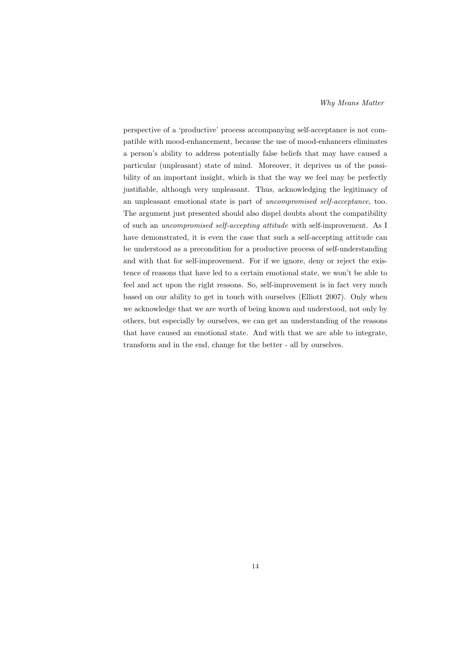perspective of a 'productive' process accompanying self-acceptance is not compatible with mood-enhancement, because the use of mood-enhancers eliminates a person's ability to address potentially false beliefs that may have caused a particular (unpleasant) state of mind. Moreover, it deprives us of the possibility of an important insight, which is that the way we feel may be perfectly justifiable, although very unpleasant. Thus, acknowledging the legitimacy of an unpleasant emotional state is part of uncompromised self-acceptance, too. The argument just presented should also dispel doubts about the compatibility of such an uncompromised self-accepting attitude with self-improvement. As I have demonstrated, it is even the case that such a self-accepting attitude can be understood as a precondition for a productive process of self-understanding and with that for self-improvement. For if we ignore, deny or reject the existence of reasons that have led to a certain emotional state, we won't be able to feel and act upon the right reasons. So, self-improvement is in fact very much based on our ability to get in touch with ourselves (Elliott 2007). Only when we acknowledge that we are worth of being known and understood, not only by others, but especially by ourselves, we can get an understanding of the reasons that have caused an emotional state. And with that we are able to integrate, transform and in the end, change for the better - all by ourselves.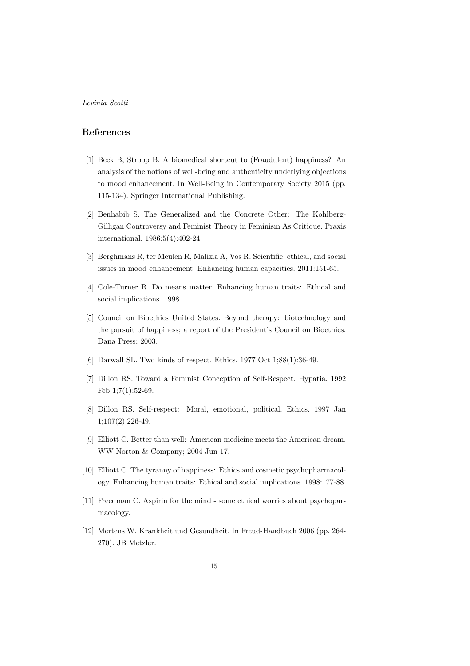## References

- [1] Beck B, Stroop B. A biomedical shortcut to (Fraudulent) happiness? An analysis of the notions of well-being and authenticity underlying objections to mood enhancement. In Well-Being in Contemporary Society 2015 (pp. 115-134). Springer International Publishing.
- [2] Benhabib S. The Generalized and the Concrete Other: The Kohlberg-Gilligan Controversy and Feminist Theory in Feminism As Critique. Praxis international. 1986;5(4):402-24.
- [3] Berghmans R, ter Meulen R, Malizia A, Vos R. Scientific, ethical, and social issues in mood enhancement. Enhancing human capacities. 2011:151-65.
- [4] Cole-Turner R. Do means matter. Enhancing human traits: Ethical and social implications. 1998.
- [5] Council on Bioethics United States. Beyond therapy: biotechnology and the pursuit of happiness; a report of the President's Council on Bioethics. Dana Press; 2003.
- [6] Darwall SL. Two kinds of respect. Ethics. 1977 Oct 1;88(1):36-49.
- [7] Dillon RS. Toward a Feminist Conception of Self-Respect. Hypatia. 1992 Feb 1;7(1):52-69.
- [8] Dillon RS. Self-respect: Moral, emotional, political. Ethics. 1997 Jan 1;107(2):226-49.
- [9] Elliott C. Better than well: American medicine meets the American dream. WW Norton & Company; 2004 Jun 17.
- [10] Elliott C. The tyranny of happiness: Ethics and cosmetic psychopharmacology. Enhancing human traits: Ethical and social implications. 1998:177-88.
- [11] Freedman C. Aspirin for the mind some ethical worries about psychoparmacology.
- [12] Mertens W. Krankheit und Gesundheit. In Freud-Handbuch 2006 (pp. 264- 270). JB Metzler.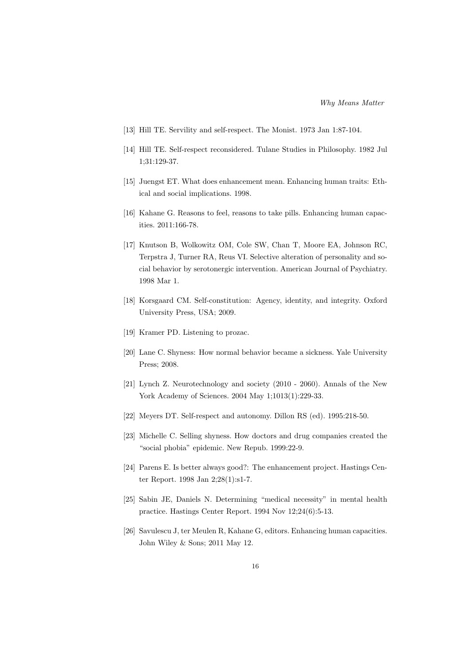- [13] Hill TE. Servility and self-respect. The Monist. 1973 Jan 1:87-104.
- [14] Hill TE. Self-respect reconsidered. Tulane Studies in Philosophy. 1982 Jul 1;31:129-37.
- [15] Juengst ET. What does enhancement mean. Enhancing human traits: Ethical and social implications. 1998.
- [16] Kahane G. Reasons to feel, reasons to take pills. Enhancing human capacities. 2011:166-78.
- [17] Knutson B, Wolkowitz OM, Cole SW, Chan T, Moore EA, Johnson RC, Terpstra J, Turner RA, Reus VI. Selective alteration of personality and social behavior by serotonergic intervention. American Journal of Psychiatry. 1998 Mar 1.
- [18] Korsgaard CM. Self-constitution: Agency, identity, and integrity. Oxford University Press, USA; 2009.
- [19] Kramer PD. Listening to prozac.
- [20] Lane C. Shyness: How normal behavior became a sickness. Yale University Press; 2008.
- [21] Lynch Z. Neurotechnology and society (2010 2060). Annals of the New York Academy of Sciences. 2004 May 1;1013(1):229-33.
- [22] Meyers DT. Self-respect and autonomy. Dillon RS (ed). 1995:218-50.
- [23] Michelle C. Selling shyness. How doctors and drug companies created the "social phobia" epidemic. New Repub. 1999:22-9.
- [24] Parens E. Is better always good?: The enhancement project. Hastings Center Report. 1998 Jan 2;28(1):s1-7.
- [25] Sabin JE, Daniels N. Determining "medical necessity" in mental health practice. Hastings Center Report. 1994 Nov 12;24(6):5-13.
- [26] Savulescu J, ter Meulen R, Kahane G, editors. Enhancing human capacities. John Wiley & Sons; 2011 May 12.